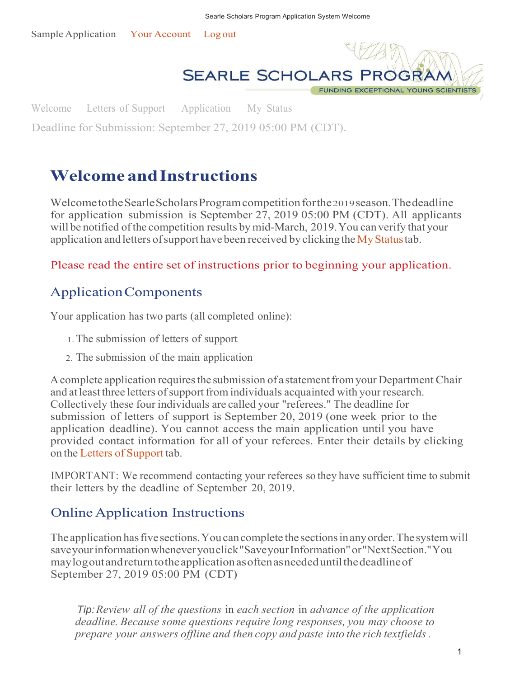

Welcome Letters of Support Application My Status

Deadline for Submission: September 27, 2019 05:00 PM (CDT).

## **Welcome and Instructions**

Welcome to the Searle Scholars Program competition for the 2019 season. The deadline for application submission is September 27, 2019 05:00 PM (CDT). All applicants will be notified of the competition results by mid-March, 2019.You can verify that your application and letters of support have been received by clicking the My Status tab.

Please read the entire set of instructions prior to beginning your application.

## Application Components

Your application has two parts (all completed online):

- 1.The submission of letters of support
- 2. The submission of the main application

A complete application requires the submission of a statement from your Department Chair and at least three letters of support from individuals acquainted with your research. Collectively these four individuals are called your "referees." The deadline for submission of letters of support is September 20, 2019 (one week prior to the application deadline). You cannot access the main application until you have provided contact information for all of your referees. Enter their details by clicking on the Letters of Support tab.

IMPORTANT: We recommend contacting your referees so they have sufficient time to submit their letters by the deadline of September 20, 2019.

## Online Application Instructions

The application has five sections. You can complete the sections in any order. The system will save your information whenever you click "Save your Information" or "Next Section." You may log out and return to the application as often as needed until the deadline of September 27, 2019 05:00 PM (CDT)

*Tip: Review all of the questions* in *each section* in *advance of the application deadline. Because some questions require long responses, you may choose to prepare your answers offline and then copy and paste into the rich textfields .*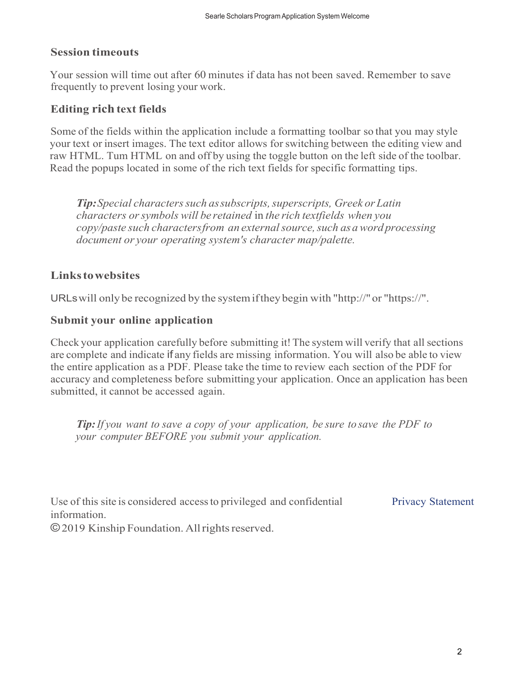#### **Session timeouts**

Your session will time out after 60 minutes if data has not been saved. Remember to save frequently to prevent losing your work.

#### **Editing rich text fields**

Some of the fields within the application include a formatting toolbar so that you may style your text or insert images. The text editor allows for switching between the editing view and raw HTML. Tum HTML on and off by using the toggle button on the left side of the toolbar. Read the popups located in some of the rich text fields for specific formatting tips.

*Tip: Special characters such as subscripts, superscripts, Greek or Latin characters or symbols will be retained* in *the rich textfields when you copy/paste such charactersfrom an external source, such as a word processing document or your operating system's character map/palette.*

#### **Links to websites**

URLs will only be recognized by the system if they begin with "http://" or "https://".

#### **Submit your online application**

Check your application carefully before submitting it! The system will verify that all sections are complete and indicate if any fields are missing information. You will also be able to view the entire application as a PDF. Please take the time to review each section of the PDF for accuracy and completeness before submitting your application. Once an application has been submitted, it cannot be accessed again.

*Tip: If you want to save a copy of your application, be sure to save the PDF to your computer BEFORE you submit your application.*

Use of this site is considered access to privileged and confidential information. © 2019 Kinship Foundation. All rights reserved. Privacy Statement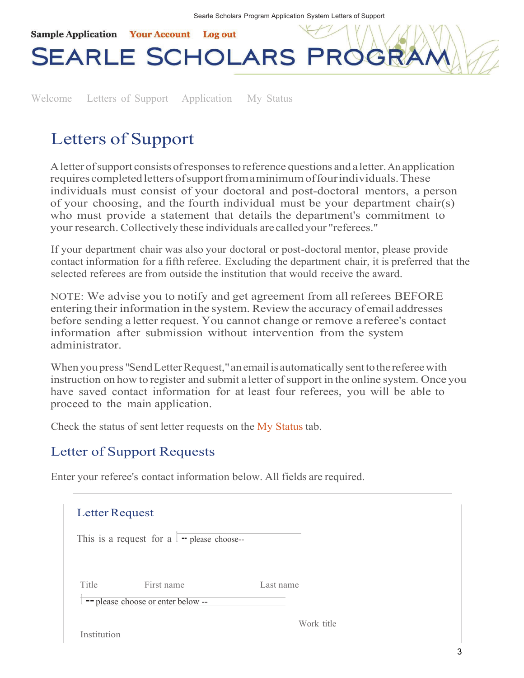

Welcome Letters of Support Application My Status

# Letters of Support

A letter of support consists of responses to reference questions and a letter. An application requires completed letters of support from a minimum of four individuals. These individuals must consist of your doctoral and post-doctoral mentors, a person of your choosing, and the fourth individual must be your department chair(s) who must provide a statement that details the department's commitment to your research. Collectively these individuals are called your "referees."

If your department chair was also your doctoral or post-doctoral mentor, please provide contact information for a fifth referee. Excluding the department chair, it is preferred that the selected referees are from outside the institution that would receive the award.

NOTE: We advise you to notify and get agreement from all referees BEFORE entering their information in the system. Review the accuracy of email addresses before sending a letter request. You cannot change or remove a referee's contact information after submission without intervention from the system administrator.

When you press "Send Letter Request," an email is automatically sent to the referee with instruction on how to register and submit a letter of support in the online system. Once you have saved contact information for at least four referees, you will be able to proceed to the main application.

Check the status of sent letter requests on the My Status tab.

## Letter of Support Requests

Enter your referee's contact information below. All fields are required.

| Letter Request |                                                            |            |
|----------------|------------------------------------------------------------|------------|
|                | This is a request for a $\boxed{\text{--}$ please choose-- |            |
|                |                                                            |            |
| Title          | First name                                                 | Last name  |
|                | -- please choose or enter below --                         |            |
| Institution    |                                                            | Work title |
|                |                                                            |            |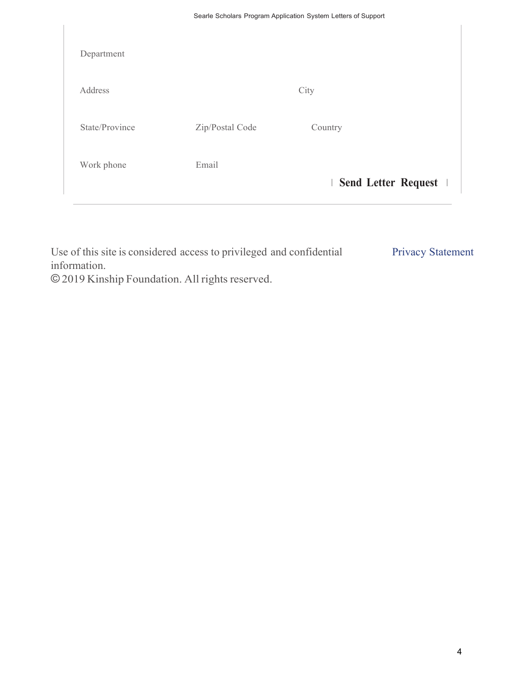|                | Searle Scholars Program Application System Letters of Support |                            |  |  |
|----------------|---------------------------------------------------------------|----------------------------|--|--|
| Department     |                                                               |                            |  |  |
| Address        |                                                               | City                       |  |  |
| State/Province | Zip/Postal Code                                               | Country                    |  |  |
| Work phone     | Email                                                         | <b>Send Letter Request</b> |  |  |

| Use of this site is considered access to privileged and confidential | <b>Privacy Statement</b> |
|----------------------------------------------------------------------|--------------------------|
| information.                                                         |                          |
| © 2019 Kinship Foundation. All rights reserved.                      |                          |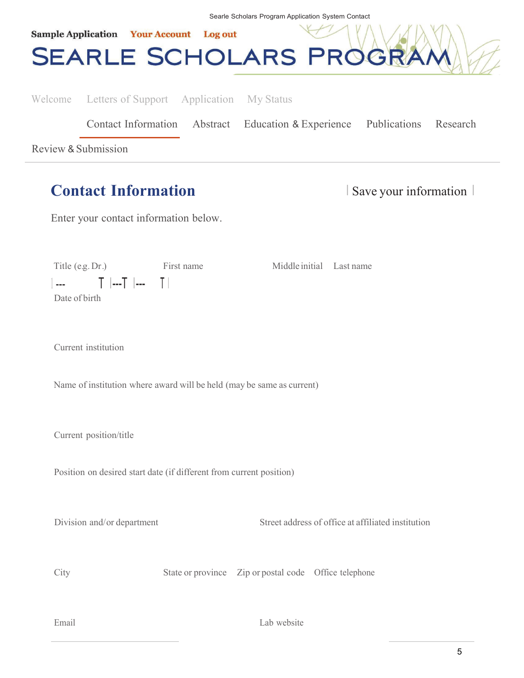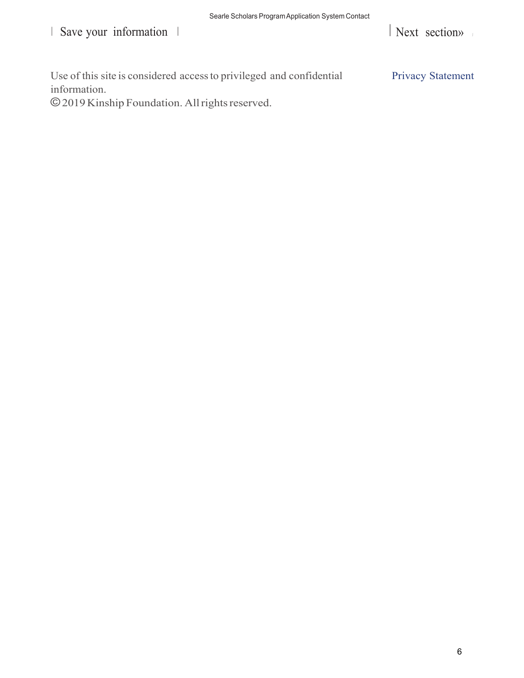## I Save your information I

I Next section»

Use of this site is considered access to privileged and confidential information. Privacy Statement

© 2019Kinship Foundation. All rights reserved.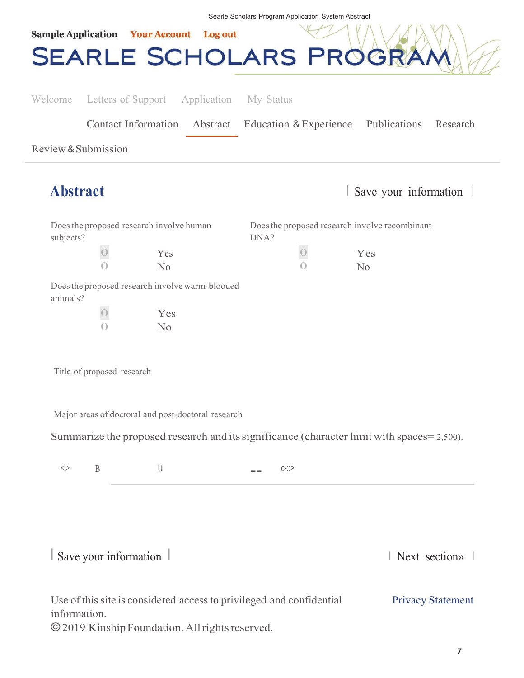| Searle Scholars Program Application System Abstract<br><b>Sample Application Vour Account</b><br><b>Log out</b><br>SEARLE SCHOLARS PROGRA                                                                                                                                     |
|-------------------------------------------------------------------------------------------------------------------------------------------------------------------------------------------------------------------------------------------------------------------------------|
| Letters of Support Application<br>Welcome<br>My Status<br><b>Contact Information</b><br>Abstract<br>Education & Experience Publications<br>Research<br>Review & Submission                                                                                                    |
| <b>Abstract</b><br>Save your information                                                                                                                                                                                                                                      |
| Does the proposed research involve human<br>Does the proposed research involve recombinant<br>subjects?<br>DNA?<br>$\bigcirc$<br>Yes<br>Yes<br>No<br>N <sub>0</sub><br>Does the proposed research involve warm-blooded<br>animals?<br>Yes<br>No<br>Title of proposed research |
| Major areas of doctoral and post-doctoral research<br>Summarize the proposed research and its significance (character limit with spaces= 2,500).<br>$\mathbf{B}$<br>U<br>$\mathord{<}$<br>$C-$ :>                                                                             |
| Save your information<br>Next section»                                                                                                                                                                                                                                        |

| Use of this site is considered access to privileged and confidential | <b>Privacy Statement</b> |
|----------------------------------------------------------------------|--------------------------|
| information.                                                         |                          |
| © 2019 Kinship Foundation. All rights reserved.                      |                          |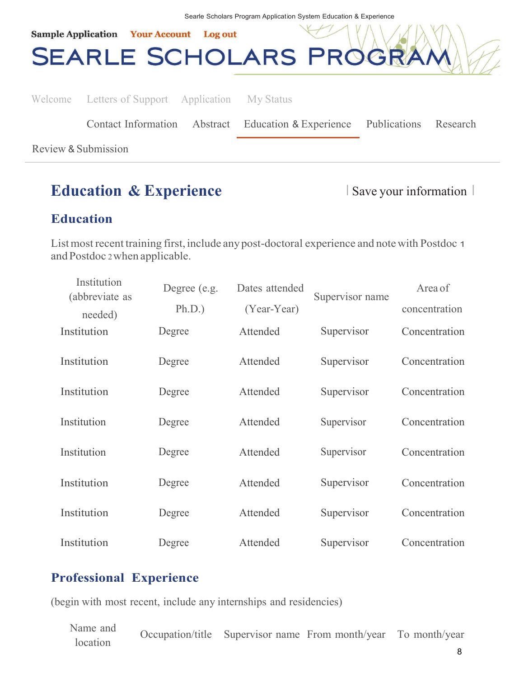

Review & Submission

# **Education & Experience I** Save your information 1

### **Education**

List most recent training first, include any post-doctoral experience and note with Postdoc 1 and Postdoc 2 when applicable.

| Institution<br>(abbreviate as | Degree (e.g. | Dates attended | Supervisor name | Area of       |
|-------------------------------|--------------|----------------|-----------------|---------------|
| needed)                       | Ph.D.)       | (Year-Year)    |                 | concentration |
| Institution                   | Degree       | Attended       | Supervisor      | Concentration |
| Institution                   | Degree       | Attended       | Supervisor      | Concentration |
| Institution                   | Degree       | Attended       | Supervisor      | Concentration |
| Institution                   | Degree       | Attended       | Supervisor      | Concentration |
| Institution                   | Degree       | Attended       | Supervisor      | Concentration |
| Institution                   | Degree       | Attended       | Supervisor      | Concentration |
| Institution                   | Degree       | Attended       | Supervisor      | Concentration |
| Institution                   | Degree       | Attended       | Supervisor      | Concentration |

### **Professional Experience**

(begin with most recent, include any internships and residencies)

Name and Occupation/title Supervisor name From month/year To month/year location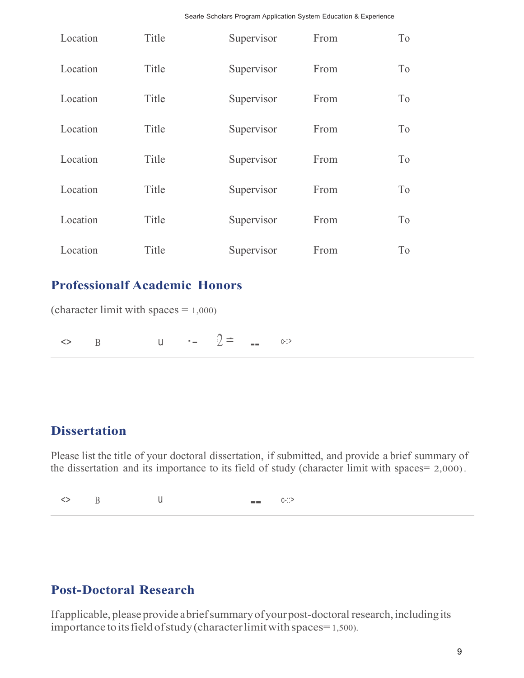|  | Searle Scholars Program Application System Education & Experience |  |  |
|--|-------------------------------------------------------------------|--|--|

| Location | Title | Supervisor | From | T <sub>o</sub> |
|----------|-------|------------|------|----------------|
| Location | Title | Supervisor | From | T <sub>o</sub> |
| Location | Title | Supervisor | From | T <sub>o</sub> |
| Location | Title | Supervisor | From | T <sub>o</sub> |
| Location | Title | Supervisor | From | T <sub>o</sub> |
| Location | Title | Supervisor | From | T <sub>o</sub> |
| Location | Title | Supervisor | From | T <sub>o</sub> |
| Location | Title | Supervisor | From | To             |

### **Professionalf Academic Honors**

(character limit with spaces  $= 1,000$ )

 $\leftrightarrow$  B u  $\cdot$  -  $2 =$  $c-$ :>

## **Dissertation**

Please list the title of your doctoral dissertation, if submitted, and provide a brief summary of the dissertation and its importance to its field of study (character limit with spaces= 2,000) .

 $\lt\rhd$  B u  $\qquad \qquad \blacksquare$  c-::>

## **Post-Doctoral Research**

If applicable, please provide a brief summary of your post-doctoral research, including its importance to its field of study (character limit with spaces= 1,500).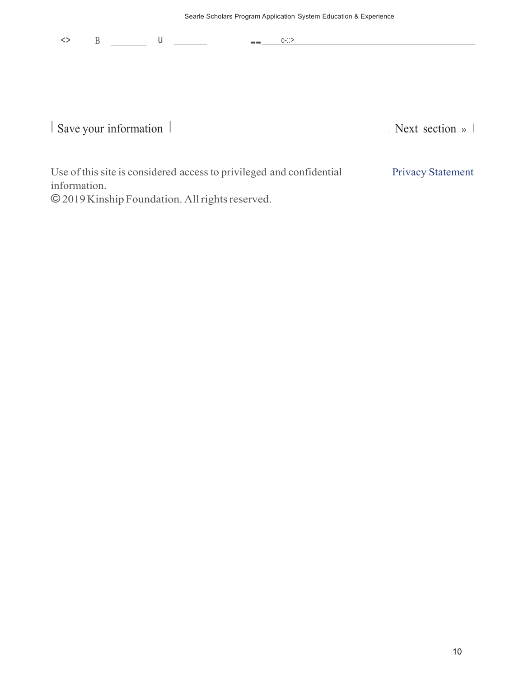<> B U <u>U + C-::></u>

## I Save your information I Save your information I

Use of this site is considered access to privileged and confidential information. © 2019Kinship Foundation. All rights reserved. Privacy Statement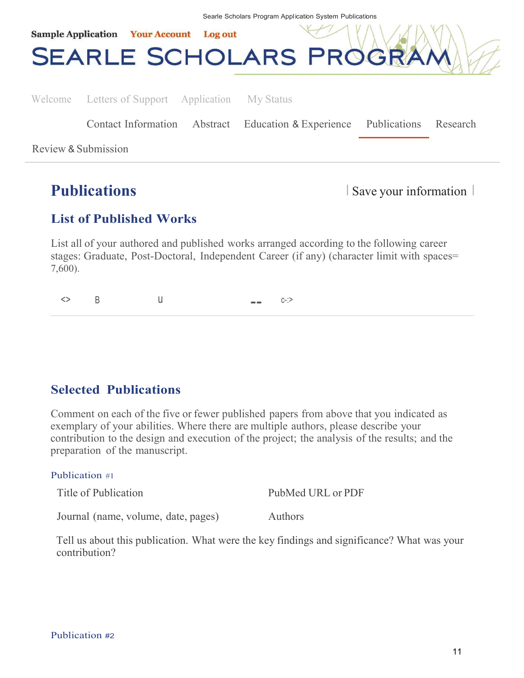

**Publications I** Save your information I

### **List of Published Works**

List all of your authored and published works arranged according to the following career stages: Graduate, Post-Doctoral, Independent Career (if any) (character limit with spaces= 7,600).

 $\left\langle \text{>}\right\rangle$  B U  $\qquad \qquad \text{=}$  C-:>

### **Selected Publications**

Comment on each of the five or fewer published papers from above that you indicated as exemplary of your abilities. Where there are multiple authors, please describe your contribution to the design and execution of the project; the analysis of the results; and the preparation of the manuscript.

#### Publication #1

Title of Publication PubMed URL or PDF

Journal (name, volume, date, pages) Authors

Tell us about this publication. What were the key findings and significance? What was your contribution?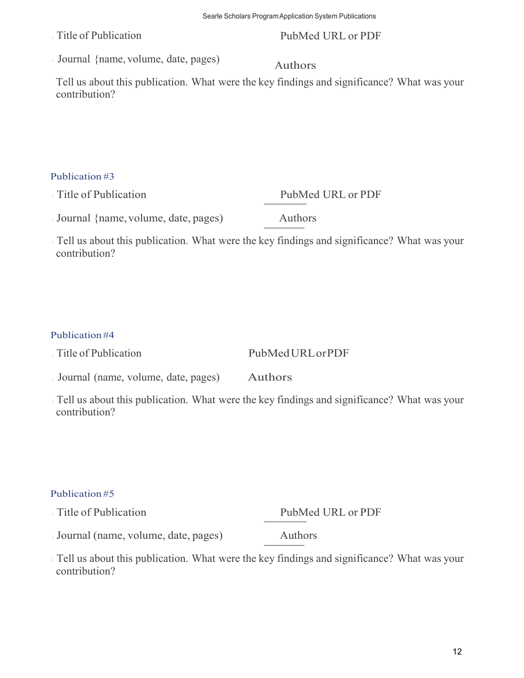Title of Publication

#### PubMed URL or PDF

IJournal {name, volume, date, pages} Authors

Tell us about this publication. What were the key findings and significance? What was your contribution?

#### Publication #3

| Title of Publication                    | PubMed URL or PDF |
|-----------------------------------------|-------------------|
| Journal $\{name, volume, date, pages\}$ | <b>Authors</b>    |

Tell us about this publication. What were the key findings and significance? What was your contribution?

#### Publication #4

| PubMedURLorPDF |
|----------------|
|                |

- IJournal (name, volume, date, pages) Authors
- <sup>I</sup>Tell us about this publication. What were the key findings and significance? What was your contribution?

#### Publication #5

| Title of Publication | PubMed URL or PDF |  |
|----------------------|-------------------|--|
|                      |                   |  |

- IJournal (name, volume, date, pages) Authors
- Tell us about this publication. What were the key findings and significance? What was your contribution?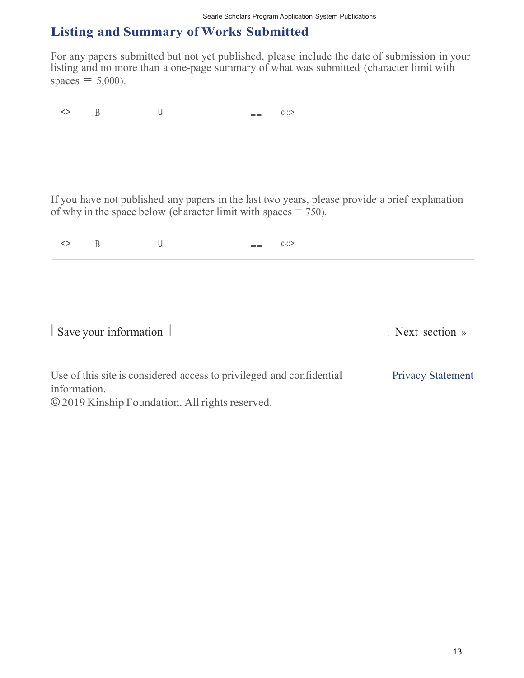## **Listing and Summary of Works Submitted**

For any papers submitted but not yet published, please include the date of submission in your listing and no more than a one-page summary of what was submitted (character limit with  $spaces = 5,000$ .

 $\Leftrightarrow$  B u  $\qquad \qquad \blacksquare$  c-::>

If you have not published any papers in the last two years, please provide a brief explanation of why in the space below (character limit with spaces  $= 750$ ).

 $\Leftrightarrow$  B u  $\Leftrightarrow$  c-::> I Save your information I allows the Save your information I

Use of this site is considered access to privileged and confidential information. © 2019 Kinship Foundation. All rights reserved. Privacy Statement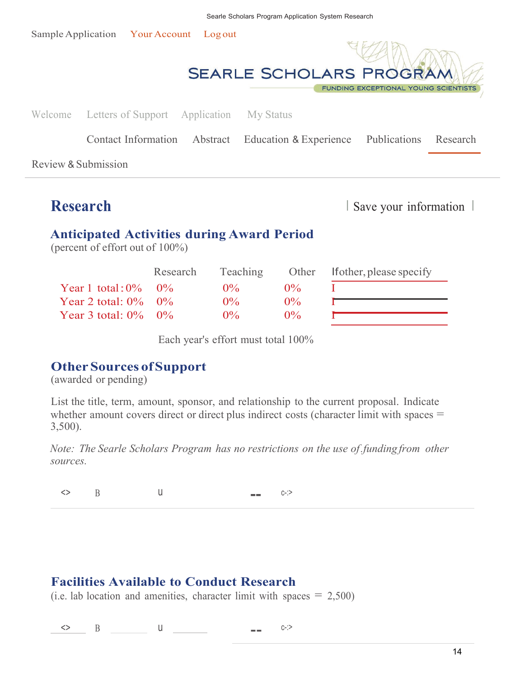Sample Application Your Account Log out



Welcome Letters of Support Application My Status

Contact Information Abstract Education & Experience Publications Research

Review & Submission

**Research** I Save your information I

### **Anticipated Activities during Award Period**

(percent of effort out of 100%)

|                        | Research | <b>Teaching</b> | Other             | <b>If</b> other, please specify |
|------------------------|----------|-----------------|-------------------|---------------------------------|
| Year 1 total: $0\%$ 0% |          | $0\%$           | $\omega_{\alpha}$ |                                 |
| Year 2 total: $0\%$ 0% |          | $0\%$           | $0\%$             |                                 |
| Year 3 total: $0\%$ 0% |          | $0\%$           | $0\%$             |                                 |

Each year's effort must total 100%

#### **Other Sources of Support**

(awarded or pending)

List the title, term, amount, sponsor, and relationship to the current proposal. Indicate whether amount covers direct or direct plus indirect costs (character limit with spaces  $=$ 3,500).

*Note: The Searle Scholars Program has no restrictions on the use of.funding from other sources.*

 $\left\langle \text{>}\right\rangle$  B U  $\left\langle \text{=}\right\rangle$  C-:>

### **Facilities Available to Conduct Research**

(i.e. lab location and amenities, character limit with spaces  $= 2,500$ )

 $\Leftrightarrow$  B u  $\qquad \qquad \blacksquare$  c->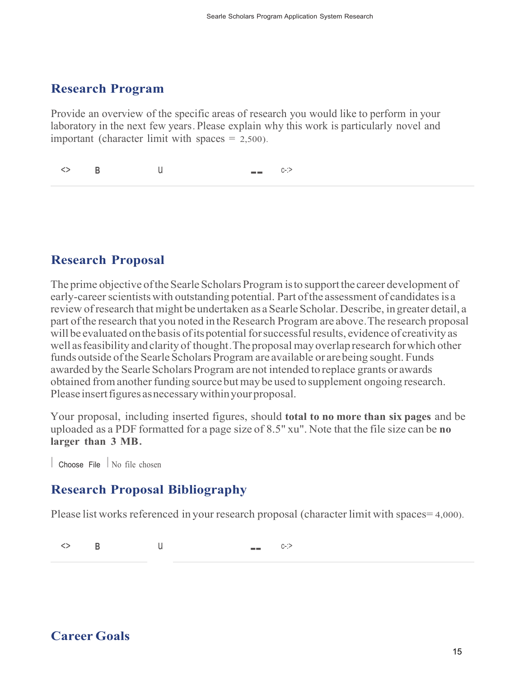### **Research Program**

Provide an overview of the specific areas of research you would like to perform in your laboratory in the next few years. Please explain why this work is particularly novel and important (character limit with spaces  $= 2,500$ ).

<> **B** <sup>u</sup>-- c-:>

### **Research Proposal**

The prime objective of the Searle Scholars Program is to support the career development of early-career scientists with outstanding potential. Part of the assessment of candidates is a review of research that might be undertaken as a Searle Scholar. Describe, in greater detail, a part of the research that you noted in the Research Program are above. The research proposal will be evaluated on the basis of its potential for successful results, evidence of creativity as well as feasibility and clarity of thought . The proposal may overlap research for which other funds outside of the Searle Scholars Program are available or are being sought. Funds awarded by the Searle Scholars Program are not intended to replace grants or awards obtained from another funding source but may be used to supplement ongoing research. Please insert figures as necessary within your proposal.

Your proposal, including inserted figures, should **total to no more than six pages** and be uploaded as a PDF formatted for a page size of 8.5" xu". Note that the file size can be **no larger than 3 MB.**

 $\vert$  Choose File  $\vert$  No file chosen

## **Research Proposal Bibliography**

Please list works referenced in your research proposal (character limit with spaces= 4,000).

<> **B** U --- c-:>

**Career Goals**